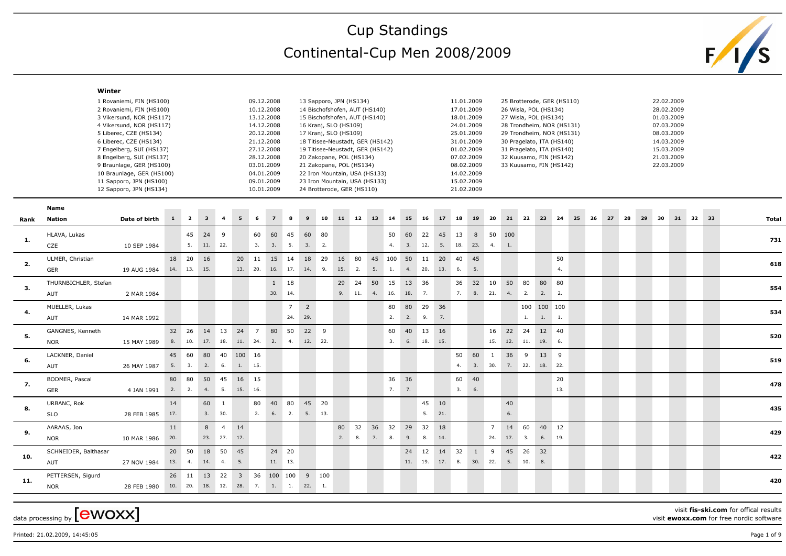## Cup Standings Continental-Cup Men 2008/2009



| 1 Rovaniemi, FIN (HS100)<br>09.12.2008<br>13 Sapporo, JPN (HS134)<br>11.01.2009<br>25 Brotterode, GER (HS110)<br>22.02.2009<br>2 Rovaniemi, FIN (HS100)<br>10.12.2008<br>17.01.2009<br>28.02.2009<br>14 Bischofshofen, AUT (HS140)<br>26 Wisla, POL (HS134)<br>13.12.2008<br>18.01.2009<br>01.03.2009<br>3 Vikersund, NOR (HS117)<br>15 Bischofshofen, AUT (HS140)<br>27 Wisla, POL (HS134)<br>07.03.2009<br>4 Vikersund, NOR (HS117)<br>14.12.2008<br>24.01.2009<br>16 Kranj, SLO (HS109)<br>28 Trondheim, NOR (HS131)<br>20.12.2008<br>25.01.2009<br>08.03.2009<br>5 Liberec, CZE (HS134)<br>17 Kranj, SLO (HS109)<br>29 Trondheim, NOR (HS131)<br>6 Liberec, CZE (HS134)<br>21.12.2008<br>31.01.2009<br>30 Pragelato, ITA (HS140)<br>14.03.2009<br>18 Titisee-Neustadt, GER (HS142)<br>7 Engelberg, SUI (HS137)<br>27.12.2008<br>19 Titisee-Neustadt, GER (HS142)<br>01.02.2009<br>15.03.2009<br>31 Pragelato, ITA (HS140)<br>28.12.2008<br>07.02.2009<br>21.03.2009<br>8 Engelberg, SUI (HS137)<br>20 Zakopane, POL (HS134)<br>32 Kuusamo, FIN (HS142)<br>03.01.2009<br>08.02.2009<br>22.03.2009<br>9 Braunlage, GER (HS100)<br>21 Zakopane, POL (HS134)<br>33 Kuusamo, FIN (HS142)<br>14.02.2009<br>10 Braunlage, GER (HS100)<br>04.01.2009<br>22 Iron Mountain, USA (HS133)<br>11 Sapporo, JPN (HS100)<br>09.01.2009<br>15.02.2009<br>23 Iron Mountain, USA (HS133)<br>12 Sapporo, JPN (HS134)<br>10.01.2009<br>24 Brotterode, GER (HS110)<br>21.02.2009<br>Name<br>$\overline{\mathbf{2}}$<br>$\mathbf{1}$<br>$\overline{\mathbf{3}}$<br>6<br>$\overline{7}$<br>8<br>$\mathbf{9}$<br>10<br>11<br>12<br>13<br>14<br>15<br>16<br>17<br>18<br>19<br>-20<br>21<br>22<br>23<br>24<br>25<br>- 26<br>27<br>28<br>29<br>30<br>31<br>32 33<br>Date of birth<br>Nation<br>Total<br>24<br>45<br>60<br>45<br>60<br>60<br>50 100<br>HLAVA, Lukas<br>9<br>60<br>80<br>50<br>22<br>45<br>13<br>8<br>731<br>5.<br>11. 22.<br>3.<br>3.<br>5.<br>3.<br>2.<br>4.<br>3.<br>12.<br>5.<br>18.<br>23. 4.<br>1.<br>CZE<br>10 SEP 1984<br>18 20<br>16<br>15 14<br>18 29<br>16 80 45 100 50 11 20 40 45<br>50<br>ULMER, Christian<br>20 11<br>618<br>14. 13.<br>15.<br>13. 20.<br>17.<br>15. 2.<br>5.<br>20.<br>13.<br>5.<br>4.<br>16.<br>14. 9.<br>1.<br>4.<br>6.<br><b>GER</b><br>19 AUG 1984<br>50 15<br>32 10<br>50 80<br>THURNBICHLER, Stefan<br>$1 \qquad 18$<br>29 24<br>13 36<br>36<br>80 80<br>554<br>30.<br>14.<br>18. 7.<br>8. 21.<br>2.2.<br>9.11.<br>4.<br>16.<br>7.<br>4.<br>2.<br>AUT<br>2 MAR 1984<br>80<br>MUELLER, Lukas<br>$7\overline{ }$<br>$\overline{2}$<br>80<br>29 36<br>100 100 100<br>534<br>29.<br>24.<br>2.<br>2.<br>9.<br>7.<br>1.1<br>AUT<br>14 MAR 1992<br>1.<br>22 9<br>32 26<br>14<br>13<br>24 7<br>80<br>50<br>40<br>16 22<br>GANGNES, Kenneth<br>60<br>13 16<br>24<br>12 40<br>520<br>17. 18. 11. 24. 2.<br>18. 15.<br>15. 12. 11. 19. 6.<br>8. 10.<br>12. 22.<br>3.<br>6.<br><b>NOR</b><br>4.<br>15 MAY 1989<br>LACKNER, Daniel<br>45<br>60<br>80<br>60<br>36<br>13 9<br>40<br>100 16<br>50<br>9<br>1<br>6.<br>519<br>5.<br>3.<br>2.<br>6.<br>1.<br>15.<br>4.<br>3.<br>30.<br>$\overline{7}$ .<br>22. 18. 22.<br>AUT<br>26 MAY 1987<br>50<br>16 15<br>BODMER, Pascal<br>80<br>80<br>45<br>36<br>36<br>60<br>40<br>20<br>478<br>7. 7.<br>3.<br>2.2.<br>4. 5.<br>15. 16.<br>6.<br>13.<br><b>GER</b><br>4 JAN 1991<br>40<br>80<br>45 20<br>URBANC, Rok<br>14<br>60<br>80<br>45 10<br>40<br>$\mathbf{1}$<br>435<br>6.<br>2.<br>2. 5. 13.<br>5.<br>21.<br>17.<br>3. 30.<br>6.<br><b>SLO</b><br>28 FEB 1985<br>36 32 29<br>8 4<br>80<br>32<br>32 18<br>14<br>60<br>40 12<br>AARAAS, Jon<br>11<br>14<br>$\overline{7}$<br>429<br>20.<br>23.27.<br>17.<br>2.<br>8.<br>7.<br>8.<br>8.<br>14.<br>24. 17.<br>3.<br>6. 19.<br>9.<br><b>NOR</b><br>10 MAR 1986<br>18<br>SCHNEIDER, Balthasar<br>20 50<br>50<br>45<br>24 20<br>24 12 14 32<br>9<br>45 26 32<br>$\mathbf{1}$<br>422<br>13.<br>14.<br>5.<br>11. 13.<br>11. 19. 17. 8.<br>$30.$ 22. 5.<br>10.<br>8.<br>27 NOV 1984<br>4.<br>4.<br>AUT<br>13<br>22<br>3 <sup>1</sup><br>36<br>100 100<br>9 100<br>PETTERSEN, Sigurd<br>26 11<br>420<br>10. 20.<br>18. 12. 28. 7. 1. 1. 22. 1.<br>28 FEB 1980<br><b>NOR</b> |      | Winter |  |  |  |  |  |  |  |  |  |  |  |  |  |  |  |  |  |  |
|----------------------------------------------------------------------------------------------------------------------------------------------------------------------------------------------------------------------------------------------------------------------------------------------------------------------------------------------------------------------------------------------------------------------------------------------------------------------------------------------------------------------------------------------------------------------------------------------------------------------------------------------------------------------------------------------------------------------------------------------------------------------------------------------------------------------------------------------------------------------------------------------------------------------------------------------------------------------------------------------------------------------------------------------------------------------------------------------------------------------------------------------------------------------------------------------------------------------------------------------------------------------------------------------------------------------------------------------------------------------------------------------------------------------------------------------------------------------------------------------------------------------------------------------------------------------------------------------------------------------------------------------------------------------------------------------------------------------------------------------------------------------------------------------------------------------------------------------------------------------------------------------------------------------------------------------------------------------------------------------------------------------------------------------------------------------------------------------------------------------------------------------------------------------------------------------------------------------------------------------------------------------------------------------------------------------------------------------------------------------------------------------------------------------------------------------------------------------------------------------------------------------------------------------------------------------------------------------------------------------------------------------------------------------------------------------------------------------------------------------------------------------------------------------------------------------------------------------------------------------------------------------------------------------------------------------------------------------------------------------------------------------------------------------------------------------------------------------------------------------------------------------------------------------------------------------------------------------------------------------------------------------------------------------------------------------------------------------------------------------------------------------------------------------------------------------------------------------------------------------------------------------------------------------------------------------------------------------------------------------------------------------------------------------------------------------------------------------------------------------------------------------------------------------------------------------------------------------------------------------------------------------------------------------------------------------------------------------------------------------------------------------------------------------------------------------------------------------------------------------------------------------------------------------------|------|--------|--|--|--|--|--|--|--|--|--|--|--|--|--|--|--|--|--|--|
|                                                                                                                                                                                                                                                                                                                                                                                                                                                                                                                                                                                                                                                                                                                                                                                                                                                                                                                                                                                                                                                                                                                                                                                                                                                                                                                                                                                                                                                                                                                                                                                                                                                                                                                                                                                                                                                                                                                                                                                                                                                                                                                                                                                                                                                                                                                                                                                                                                                                                                                                                                                                                                                                                                                                                                                                                                                                                                                                                                                                                                                                                                                                                                                                                                                                                                                                                                                                                                                                                                                                                                                                                                                                                                                                                                                                                                                                                                                                                                                                                                                                                                                                                                            |      |        |  |  |  |  |  |  |  |  |  |  |  |  |  |  |  |  |  |  |
|                                                                                                                                                                                                                                                                                                                                                                                                                                                                                                                                                                                                                                                                                                                                                                                                                                                                                                                                                                                                                                                                                                                                                                                                                                                                                                                                                                                                                                                                                                                                                                                                                                                                                                                                                                                                                                                                                                                                                                                                                                                                                                                                                                                                                                                                                                                                                                                                                                                                                                                                                                                                                                                                                                                                                                                                                                                                                                                                                                                                                                                                                                                                                                                                                                                                                                                                                                                                                                                                                                                                                                                                                                                                                                                                                                                                                                                                                                                                                                                                                                                                                                                                                                            |      |        |  |  |  |  |  |  |  |  |  |  |  |  |  |  |  |  |  |  |
|                                                                                                                                                                                                                                                                                                                                                                                                                                                                                                                                                                                                                                                                                                                                                                                                                                                                                                                                                                                                                                                                                                                                                                                                                                                                                                                                                                                                                                                                                                                                                                                                                                                                                                                                                                                                                                                                                                                                                                                                                                                                                                                                                                                                                                                                                                                                                                                                                                                                                                                                                                                                                                                                                                                                                                                                                                                                                                                                                                                                                                                                                                                                                                                                                                                                                                                                                                                                                                                                                                                                                                                                                                                                                                                                                                                                                                                                                                                                                                                                                                                                                                                                                                            | Rank |        |  |  |  |  |  |  |  |  |  |  |  |  |  |  |  |  |  |  |
|                                                                                                                                                                                                                                                                                                                                                                                                                                                                                                                                                                                                                                                                                                                                                                                                                                                                                                                                                                                                                                                                                                                                                                                                                                                                                                                                                                                                                                                                                                                                                                                                                                                                                                                                                                                                                                                                                                                                                                                                                                                                                                                                                                                                                                                                                                                                                                                                                                                                                                                                                                                                                                                                                                                                                                                                                                                                                                                                                                                                                                                                                                                                                                                                                                                                                                                                                                                                                                                                                                                                                                                                                                                                                                                                                                                                                                                                                                                                                                                                                                                                                                                                                                            | 1.   |        |  |  |  |  |  |  |  |  |  |  |  |  |  |  |  |  |  |  |
|                                                                                                                                                                                                                                                                                                                                                                                                                                                                                                                                                                                                                                                                                                                                                                                                                                                                                                                                                                                                                                                                                                                                                                                                                                                                                                                                                                                                                                                                                                                                                                                                                                                                                                                                                                                                                                                                                                                                                                                                                                                                                                                                                                                                                                                                                                                                                                                                                                                                                                                                                                                                                                                                                                                                                                                                                                                                                                                                                                                                                                                                                                                                                                                                                                                                                                                                                                                                                                                                                                                                                                                                                                                                                                                                                                                                                                                                                                                                                                                                                                                                                                                                                                            | 2.   |        |  |  |  |  |  |  |  |  |  |  |  |  |  |  |  |  |  |  |
|                                                                                                                                                                                                                                                                                                                                                                                                                                                                                                                                                                                                                                                                                                                                                                                                                                                                                                                                                                                                                                                                                                                                                                                                                                                                                                                                                                                                                                                                                                                                                                                                                                                                                                                                                                                                                                                                                                                                                                                                                                                                                                                                                                                                                                                                                                                                                                                                                                                                                                                                                                                                                                                                                                                                                                                                                                                                                                                                                                                                                                                                                                                                                                                                                                                                                                                                                                                                                                                                                                                                                                                                                                                                                                                                                                                                                                                                                                                                                                                                                                                                                                                                                                            | 3.   |        |  |  |  |  |  |  |  |  |  |  |  |  |  |  |  |  |  |  |
|                                                                                                                                                                                                                                                                                                                                                                                                                                                                                                                                                                                                                                                                                                                                                                                                                                                                                                                                                                                                                                                                                                                                                                                                                                                                                                                                                                                                                                                                                                                                                                                                                                                                                                                                                                                                                                                                                                                                                                                                                                                                                                                                                                                                                                                                                                                                                                                                                                                                                                                                                                                                                                                                                                                                                                                                                                                                                                                                                                                                                                                                                                                                                                                                                                                                                                                                                                                                                                                                                                                                                                                                                                                                                                                                                                                                                                                                                                                                                                                                                                                                                                                                                                            | 4.   |        |  |  |  |  |  |  |  |  |  |  |  |  |  |  |  |  |  |  |
|                                                                                                                                                                                                                                                                                                                                                                                                                                                                                                                                                                                                                                                                                                                                                                                                                                                                                                                                                                                                                                                                                                                                                                                                                                                                                                                                                                                                                                                                                                                                                                                                                                                                                                                                                                                                                                                                                                                                                                                                                                                                                                                                                                                                                                                                                                                                                                                                                                                                                                                                                                                                                                                                                                                                                                                                                                                                                                                                                                                                                                                                                                                                                                                                                                                                                                                                                                                                                                                                                                                                                                                                                                                                                                                                                                                                                                                                                                                                                                                                                                                                                                                                                                            | 5.   |        |  |  |  |  |  |  |  |  |  |  |  |  |  |  |  |  |  |  |
|                                                                                                                                                                                                                                                                                                                                                                                                                                                                                                                                                                                                                                                                                                                                                                                                                                                                                                                                                                                                                                                                                                                                                                                                                                                                                                                                                                                                                                                                                                                                                                                                                                                                                                                                                                                                                                                                                                                                                                                                                                                                                                                                                                                                                                                                                                                                                                                                                                                                                                                                                                                                                                                                                                                                                                                                                                                                                                                                                                                                                                                                                                                                                                                                                                                                                                                                                                                                                                                                                                                                                                                                                                                                                                                                                                                                                                                                                                                                                                                                                                                                                                                                                                            |      |        |  |  |  |  |  |  |  |  |  |  |  |  |  |  |  |  |  |  |
|                                                                                                                                                                                                                                                                                                                                                                                                                                                                                                                                                                                                                                                                                                                                                                                                                                                                                                                                                                                                                                                                                                                                                                                                                                                                                                                                                                                                                                                                                                                                                                                                                                                                                                                                                                                                                                                                                                                                                                                                                                                                                                                                                                                                                                                                                                                                                                                                                                                                                                                                                                                                                                                                                                                                                                                                                                                                                                                                                                                                                                                                                                                                                                                                                                                                                                                                                                                                                                                                                                                                                                                                                                                                                                                                                                                                                                                                                                                                                                                                                                                                                                                                                                            | 7.   |        |  |  |  |  |  |  |  |  |  |  |  |  |  |  |  |  |  |  |
|                                                                                                                                                                                                                                                                                                                                                                                                                                                                                                                                                                                                                                                                                                                                                                                                                                                                                                                                                                                                                                                                                                                                                                                                                                                                                                                                                                                                                                                                                                                                                                                                                                                                                                                                                                                                                                                                                                                                                                                                                                                                                                                                                                                                                                                                                                                                                                                                                                                                                                                                                                                                                                                                                                                                                                                                                                                                                                                                                                                                                                                                                                                                                                                                                                                                                                                                                                                                                                                                                                                                                                                                                                                                                                                                                                                                                                                                                                                                                                                                                                                                                                                                                                            | 8.   |        |  |  |  |  |  |  |  |  |  |  |  |  |  |  |  |  |  |  |
|                                                                                                                                                                                                                                                                                                                                                                                                                                                                                                                                                                                                                                                                                                                                                                                                                                                                                                                                                                                                                                                                                                                                                                                                                                                                                                                                                                                                                                                                                                                                                                                                                                                                                                                                                                                                                                                                                                                                                                                                                                                                                                                                                                                                                                                                                                                                                                                                                                                                                                                                                                                                                                                                                                                                                                                                                                                                                                                                                                                                                                                                                                                                                                                                                                                                                                                                                                                                                                                                                                                                                                                                                                                                                                                                                                                                                                                                                                                                                                                                                                                                                                                                                                            | 9.   |        |  |  |  |  |  |  |  |  |  |  |  |  |  |  |  |  |  |  |
|                                                                                                                                                                                                                                                                                                                                                                                                                                                                                                                                                                                                                                                                                                                                                                                                                                                                                                                                                                                                                                                                                                                                                                                                                                                                                                                                                                                                                                                                                                                                                                                                                                                                                                                                                                                                                                                                                                                                                                                                                                                                                                                                                                                                                                                                                                                                                                                                                                                                                                                                                                                                                                                                                                                                                                                                                                                                                                                                                                                                                                                                                                                                                                                                                                                                                                                                                                                                                                                                                                                                                                                                                                                                                                                                                                                                                                                                                                                                                                                                                                                                                                                                                                            | 10.  |        |  |  |  |  |  |  |  |  |  |  |  |  |  |  |  |  |  |  |
|                                                                                                                                                                                                                                                                                                                                                                                                                                                                                                                                                                                                                                                                                                                                                                                                                                                                                                                                                                                                                                                                                                                                                                                                                                                                                                                                                                                                                                                                                                                                                                                                                                                                                                                                                                                                                                                                                                                                                                                                                                                                                                                                                                                                                                                                                                                                                                                                                                                                                                                                                                                                                                                                                                                                                                                                                                                                                                                                                                                                                                                                                                                                                                                                                                                                                                                                                                                                                                                                                                                                                                                                                                                                                                                                                                                                                                                                                                                                                                                                                                                                                                                                                                            | 11.  |        |  |  |  |  |  |  |  |  |  |  |  |  |  |  |  |  |  |  |

visit **fis-ski.com** for offical results

visit **ewoxx.com** for free nordic software

Printed: 21.02.2009, 14:45:05 Page 1 of 9

 $_{\text{data processing by}}$  [ewoxx]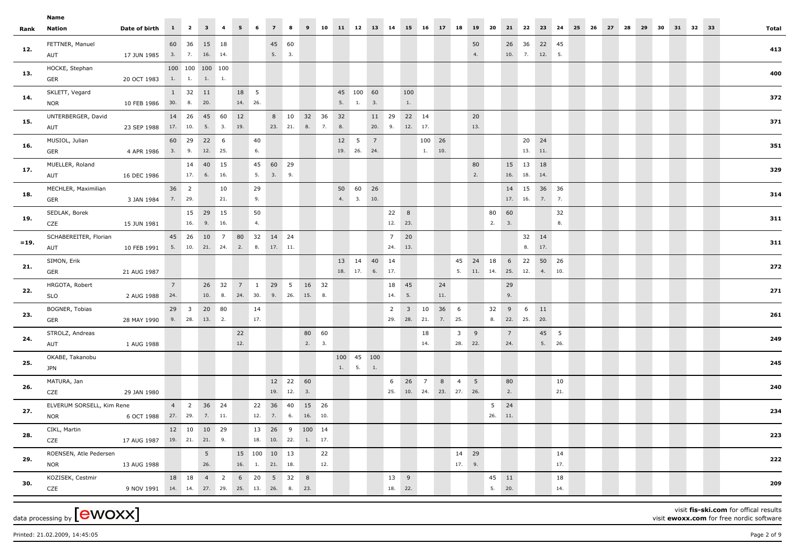|         | Name                      |                                                            |   |                    |                |     |         |     |                                       |            |               |     |                          |                |         |                        |                         |      |                |                           |                |                |        |     |       |       |    |    |  |          |       |
|---------|---------------------------|------------------------------------------------------------|---|--------------------|----------------|-----|---------|-----|---------------------------------------|------------|---------------|-----|--------------------------|----------------|---------|------------------------|-------------------------|------|----------------|---------------------------|----------------|----------------|--------|-----|-------|-------|----|----|--|----------|-------|
| Rank    | Nation                    | Date of birth 1 2 3 4 5 6 7 8 9 10 11 12 13 14 15 16 17 18 |   |                    |                |     |         |     |                                       |            |               |     |                          |                |         |                        |                         |      | 19 20          |                           |                | 21 22 23 24    |        |     | 25 26 | 27 28 | 29 | 30 |  | 31 32 33 | Total |
|         | FETTNER, Manuel           |                                                            |   | 60 36 15 18        |                |     |         |     | 45 60                                 |            |               |     |                          |                |         |                        |                         |      | 50             |                           |                | 26 36 22 45    |        |     |       |       |    |    |  |          |       |
| 12.     | AUT                       | 17 JUN 1985 3. 7. 16. 14.                                  |   |                    |                |     |         |     | 5. 3.                                 |            |               |     |                          |                |         |                        |                         |      | 4.             |                           |                | 10. 7. 12. 5.  |        |     |       |       |    |    |  |          | 413   |
|         | HOCKE, Stephan            |                                                            |   | 100 100 100 100    |                |     |         |     |                                       |            |               |     |                          |                |         |                        |                         |      |                |                           |                |                |        |     |       |       |    |    |  |          |       |
| 13.     | <b>GER</b>                | 20 OCT 1983 1. 1. 1. 1.                                    |   |                    |                |     |         |     |                                       |            |               |     |                          |                |         |                        |                         |      |                |                           |                |                |        |     |       |       |    |    |  |          | 400   |
|         | SKLETT, Vegard            |                                                            |   | 1 32 11            |                |     | 18 5    |     |                                       |            |               |     | 45 100 60                |                | 100     |                        |                         |      |                |                           |                |                |        |     |       |       |    |    |  |          |       |
| 14.     | <b>NOR</b>                | 10 FEB 1986 30. 8. 20.                                     |   |                    |                |     | 14. 26. |     |                                       |            |               |     | 5. 1. 3.                 |                |         | 1.                     |                         |      |                |                           |                |                |        |     |       |       |    |    |  |          | 372   |
|         | UNTERBERGER, David        |                                                            |   | 14  26  45  60  12 |                |     |         |     |                                       |            | 8 10 32 36 32 |     |                          | 11 29          |         | 22 14                  |                         |      | 20             |                           |                |                |        |     |       |       |    |    |  |          |       |
| 15.     | AUT                       | 23 SEP 1988 17. 10. 5. 3. 19.                              |   |                    |                |     |         |     | 23. 21. 8. 7.                         |            |               |     | 8.                       | 20. 9. 12. 17. |         |                        |                         |      | 13.            |                           |                |                |        |     |       |       |    |    |  |          | 371   |
|         | MUSIOL, Julian            |                                                            |   | 60 29 22 6         |                |     |         | 40  |                                       |            |               |     | $12 \quad 5 \quad 7$     |                |         |                        | 100 26                  |      |                |                           |                | 20 24          |        |     |       |       |    |    |  |          |       |
| 16.     | <b>GER</b>                | 4 APR 1986 3. 9. 12. 25.                                   |   |                    |                |     |         | 6.  |                                       |            |               |     | 19. 26. 24.              |                |         |                        | 1. 10.                  |      |                |                           |                | 13. 11.        |        |     |       |       |    |    |  |          | 351   |
|         | MUELLER, Roland           |                                                            |   |                    | 14 40 15       |     |         |     | 45 60 29                              |            |               |     |                          |                |         |                        |                         |      | 80             |                           |                | 15 13 18       |        |     |       |       |    |    |  |          |       |
| 17.     | <b>AUT</b>                | 16 DEC 1986                                                |   |                    | 17. 6. 16.     |     |         |     | 5. 3. 9.                              |            |               |     |                          |                |         |                        |                         |      | 2.             |                           |                | 16. 18. 14.    |        |     |       |       |    |    |  |          | 329   |
|         | MECHLER, Maximilian       |                                                            |   | 36 2               |                | 10  |         | 29  |                                       |            |               |     | 50 60 26                 |                |         |                        |                         |      |                |                           |                | 14  15  36  36 |        |     |       |       |    |    |  |          |       |
| 18.     | <b>GER</b>                | 3 JAN 1984 7. 29.                                          |   |                    |                | 21. |         | 9.  |                                       |            |               |     | 4. 3. 10.                |                |         |                        |                         |      |                |                           |                | 17. 16. 7. 7.  |        |     |       |       |    |    |  |          | 314   |
|         | SEDLAK, Borek             |                                                            |   |                    | 15 29 15       |     |         | 50  |                                       |            |               |     |                          |                | 22 8    |                        |                         |      |                |                           | 80 60          |                |        | 32  |       |       |    |    |  |          |       |
| 19.     | CZE                       | 15 JUN 1981                                                |   |                    | 16. 9. 16.     |     |         | 4.  |                                       |            |               |     |                          |                | 12. 23. |                        |                         |      |                | 2. 3.                     |                |                |        | 8.  |       |       |    |    |  |          | 311   |
|         | SCHABEREITER, Florian     |                                                            |   |                    |                |     |         |     | 45  26  10  7  80  32  14  24         |            |               |     |                          |                | 7 20    |                        |                         |      |                |                           |                |                | 32 14  |     |       |       |    |    |  |          |       |
| $= 19.$ | AUT                       | 10 FEB 1991 5. 10. 21. 24. 2. 8. 17. 11.                   |   |                    |                |     |         |     |                                       |            |               |     |                          |                | 24. 13. |                        |                         |      |                |                           |                |                | 8. 17. |     |       |       |    |    |  |          | 311   |
|         | SIMON, Erik               |                                                            |   |                    |                |     |         |     |                                       |            |               |     |                          | 13  14  40  14 |         |                        |                         |      |                | 45 24 18 6 22 50 26       |                |                |        |     |       |       |    |    |  |          |       |
| 21.     | GER                       | 21 AUG 1987                                                |   |                    |                |     |         |     |                                       |            |               |     |                          | 18. 17. 6. 17. |         |                        |                         |      |                | 5. 11. 14. 25. 12. 4. 10. |                |                |        |     |       |       |    |    |  |          | 272   |
|         | HRGOTA, Robert            |                                                            | 7 |                    |                |     |         |     | 26 32 7 1 29 5 16 32                  |            |               |     |                          |                | 18 45   |                        | 24                      |      |                |                           | 29             |                |        |     |       |       |    |    |  |          |       |
| 22.     | <b>SLO</b>                | 2 AUG 1988 24.                                             |   |                    |                |     |         |     | 10. 8. 24. 30. 9. 26. 15. 8.          |            |               |     |                          |                | 14. 5.  |                        | 11.                     |      |                |                           | 9.             |                |        |     |       |       |    |    |  |          | 271   |
|         | BOGNER, Tobias            |                                                            |   | 29 3 20 80         |                |     |         | 14  |                                       |            |               |     |                          |                |         | $2 \qquad 3 \qquad 10$ |                         | 36 6 |                |                           | 32 9 6         |                | 11     |     |       |       |    |    |  |          |       |
| 23.     | <b>GER</b>                | 28 MAY 1990 9. 28. 13. 2.                                  |   |                    |                |     |         | 17. |                                       |            |               |     |                          |                |         |                        | 29. 28. 21. 7. 25.      |      |                |                           |                | 8. 22. 25. 20. |        |     |       |       |    |    |  |          | 261   |
|         | STROLZ, Andreas           |                                                            |   |                    |                |     | 22      |     |                                       |            | 80 60         |     |                          |                |         |                        | 18                      |      | $3^{\circ}$ 9  |                           | 7 <sup>7</sup> |                | 45 5   |     |       |       |    |    |  |          |       |
| 24.     | AUT                       | 1 AUG 1988                                                 |   |                    |                |     | 12.     |     |                                       |            | 2. 3.         |     |                          |                |         |                        | 14.                     |      | 28. 22.        |                           | 24.            |                | 5. 26. |     |       |       |    |    |  |          | 249   |
|         | OKABE, Takanobu           |                                                            |   |                    |                |     |         |     |                                       |            |               |     | 100 45 100               |                |         |                        |                         |      |                |                           |                |                |        |     |       |       |    |    |  |          |       |
| 25.     | <b>JPN</b>                |                                                            |   |                    |                |     |         |     |                                       |            |               |     | $1. \qquad 5. \qquad 1.$ |                |         |                        |                         |      |                |                           |                |                |        |     |       |       |    |    |  |          | 245   |
|         | MATURA, Jan               |                                                            |   |                    |                |     |         |     | 12 22 60                              |            |               |     |                          | 6              |         | 26 7                   |                         | 8 4  | 5 <sup>5</sup> |                           | 80             |                |        | 10  |       |       |    |    |  |          |       |
| 26.     | CZE                       | 29 JAN 1980                                                |   |                    |                |     |         |     |                                       | 19. 12. 3. |               |     |                          |                |         |                        | 25. 10. 24. 23. 27. 26. |      |                |                           | 2.             |                |        | 21. |       |       |    |    |  |          | 240   |
|         | ELVERUM SORSELL, Kim Rene |                                                            |   | 4 2 36 24          |                |     |         |     | 22 36 40 15 26                        |            |               |     |                          |                |         |                        |                         |      |                |                           | 5 24           |                |        |     |       |       |    |    |  |          |       |
| 27.     | <b>NOR</b>                | 6 OCT 1988 27. 29. 7. 11.                                  |   |                    |                |     |         |     | 12. 7. 6. 16. 10.                     |            |               |     |                          |                |         |                        |                         |      |                | 26. 11.                   |                |                |        |     |       |       |    |    |  |          | 234   |
|         | CIKL, Martin              |                                                            |   | 12 10 10 29        |                |     |         |     | 13  26  9  100  14                    |            |               |     |                          |                |         |                        |                         |      |                |                           |                |                |        |     |       |       |    |    |  |          |       |
| 28.     | CZE                       | 17 AUG 1987 19. 21. 21. 9.                                 |   |                    |                |     |         |     | 18. 10. 22. 1. 17.                    |            |               |     |                          |                |         |                        |                         |      |                |                           |                |                |        |     |       |       |    |    |  |          | 223   |
|         | ROENSEN, Atle Pedersen    |                                                            |   |                    | 5 <sub>1</sub> |     |         |     | 15 100 10 13                          |            |               | 22  |                          |                |         |                        |                         |      | 14 29          |                           |                |                |        | 14  |       |       |    |    |  |          |       |
| 29.     | <b>NOR</b>                | 13 AUG 1988                                                |   |                    | 26.            |     |         |     | $16. \qquad 1. \qquad 21. \qquad 18.$ |            |               | 12. |                          |                |         |                        |                         |      | 17. 9.         |                           |                |                |        | 17. |       |       |    |    |  |          | 222   |
|         | KOZISEK, Cestmir          |                                                            |   |                    |                |     |         |     | 18 18 4 2 6 20 5 32 8                 |            |               |     |                          |                | 13 9    |                        |                         |      |                | 45 11                     |                |                |        | 18  |       |       |    |    |  |          |       |
| 30.     | CZE                       | 9 NOV 1991 14. 14. 27. 29. 25. 13. 26. 8. 23.              |   |                    |                |     |         |     |                                       |            |               |     |                          |                | 18. 22. |                        |                         |      |                | 5. 20.                    |                |                |        | 14. |       |       |    |    |  |          | 209   |
|         |                           |                                                            |   |                    |                |     |         |     |                                       |            |               |     |                          |                |         |                        |                         |      |                |                           |                |                |        |     |       |       |    |    |  |          |       |

data processing by  ${\rm [ewoxx]}$ 

visit **fis-ski.com** for offical results

visit **ewoxx.com** for free nordic software

Printed: 21.02.2009, 14:45:05 Page 2 of 9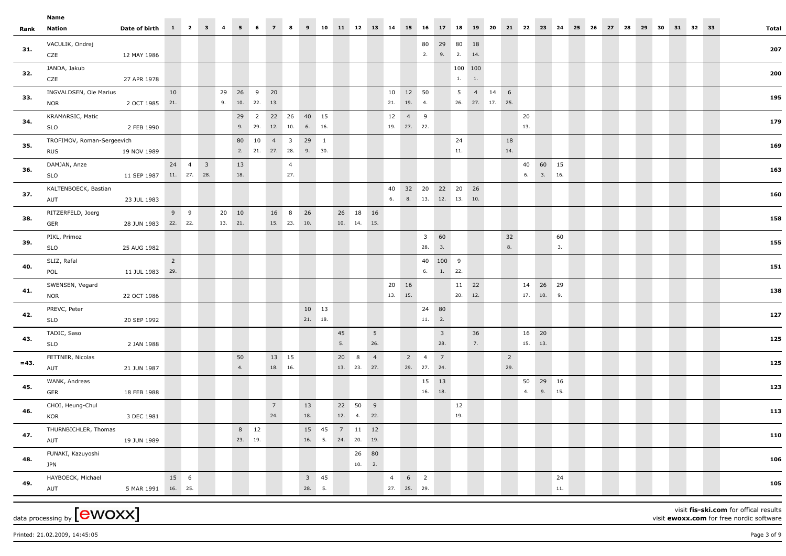|       | Name<br>$1 \quad 2$<br>$3 \quad 4$<br>11 12 13 14<br>5 <sub>1</sub><br>6<br>10<br>15 16<br>18<br>20<br>21 22 23<br>30<br>31 32 33<br>Date of birth<br>$\overline{7}$<br>8<br>9<br>17<br>19<br>24<br>25<br>26<br>27<br>28<br>29<br><b>Nation</b> |  |  |  |                        |                  |                       |      |                                   |             |                                |                |                               |                        |                                         |          |                    |           |                       |                          |                 |                  |                         |                             |             |                 |                                          |         |
|-------|-------------------------------------------------------------------------------------------------------------------------------------------------------------------------------------------------------------------------------------------------|--|--|--|------------------------|------------------|-----------------------|------|-----------------------------------|-------------|--------------------------------|----------------|-------------------------------|------------------------|-----------------------------------------|----------|--------------------|-----------|-----------------------|--------------------------|-----------------|------------------|-------------------------|-----------------------------|-------------|-----------------|------------------------------------------|---------|
| Total |                                                                                                                                                                                                                                                 |  |  |  |                        |                  |                       |      |                                   |             |                                |                |                               |                        |                                         |          |                    |           |                       |                          |                 |                  |                         |                             |             |                 |                                          | Rank    |
| 207   |                                                                                                                                                                                                                                                 |  |  |  |                        |                  |                       |      | 18<br>14.                         | 29 80       | 2. 9. 2.                       | 80             |                               |                        |                                         |          |                    |           |                       |                          |                 |                  |                         |                             |             | 12 MAY 1986     | VACULIK, Ondrej<br>CZE                   | 31.     |
| 200   |                                                                                                                                                                                                                                                 |  |  |  |                        |                  |                       |      | 100 100<br>1.                     | 1.          |                                |                |                               |                        |                                         |          |                    |           |                       |                          |                 |                  |                         |                             |             | 27 APR 1978     | JANDA, Jakub<br>CZE                      | 32.     |
| 195   |                                                                                                                                                                                                                                                 |  |  |  |                        |                  |                       | 14 6 | $\overline{4}$<br>26. 27. 17. 25. | 5           |                                |                | 10 12 50<br>21. 19. 4.        |                        |                                         |          |                    |           |                       | 20<br>- 9<br>10. 22. 13. |                 | 29 26<br>9.      |                         |                             | 10          | 2 OCT 1985 21.  | INGVALDSEN, Ole Marius<br><b>NOR</b>     | 33.     |
| 179   |                                                                                                                                                                                                                                                 |  |  |  |                        | 20<br>13.        |                       |      |                                   |             |                                |                | 12 4 9<br>19. 27. 22.         |                        |                                         |          | 40 15<br>6. 16.    |           | 12. 10.               | 29 2 22 26               | 9. 29.          |                  |                         |                             |             | 2 FEB 1990      | KRAMARSIC, Matic<br><b>SLO</b>           | 34.     |
| 169   |                                                                                                                                                                                                                                                 |  |  |  |                        |                  | 18<br>14.             |      |                                   | 24<br>$11.$ |                                |                |                               |                        |                                         |          | $29 \t1$<br>9. 30. |           | $4 \quad 3$           | 2. 21. 27. 28.           | 80 10           |                  |                         |                             |             | 19 NOV 1989     | TROFIMOV, Roman-Sergeevich<br><b>RUS</b> | 35.     |
| 163   |                                                                                                                                                                                                                                                 |  |  |  | 40 60 15<br>3. 16.     | 6.               |                       |      |                                   |             |                                |                |                               |                        |                                         |          |                    |           | $\overline{4}$<br>27. |                          | 13<br>18.       |                  | $\overline{\mathbf{3}}$ | $24 \quad 4$<br>11. 27. 28. |             | 11 SEP 1987     | DAMJAN, Anze<br><b>SLO</b>               | 36.     |
| 160   |                                                                                                                                                                                                                                                 |  |  |  |                        |                  |                       |      | 10.                               |             | 8. 13. 12. 13.                 |                | 40 32 20 22 20 26<br>6.       |                        |                                         |          |                    |           |                       |                          |                 |                  |                         |                             |             | 23 JUL 1983     | KALTENBOECK, Bastian<br>AUT              | 37.     |
| 158   |                                                                                                                                                                                                                                                 |  |  |  |                        |                  |                       |      |                                   |             |                                |                |                               |                        | 18 16<br>10. 14. 15.                    | 26       |                    | 26<br>10. | 8<br>15. 23.          | 16                       |                 | 20 10<br>13. 21. |                         | $9 \t9$                     | 22. 22.     | 28 JUN 1983     | RITZERFELD, Joerg<br>GER                 | 38.     |
| 155   |                                                                                                                                                                                                                                                 |  |  |  | 60<br>3.               |                  | 32<br>$8. \,$         |      |                                   |             | 3 60<br>3.                     | 28.            |                               |                        |                                         |          |                    |           |                       |                          |                 |                  |                         |                             |             | 25 AUG 1982     | PIKL, Primoz<br><b>SLO</b>               | 39.     |
| 151   |                                                                                                                                                                                                                                                 |  |  |  |                        |                  |                       |      |                                   | 1. 22.      | 40 100 9                       | 6.             |                               |                        |                                         |          |                    |           |                       |                          |                 |                  |                         |                             | $2^{\circ}$ | 11 JUL 1983 29. | SLIZ, Rafal<br>POL                       | 40.     |
| 138   |                                                                                                                                                                                                                                                 |  |  |  | 14 26 29<br>17. 10. 9. |                  |                       |      | $11 22$<br>12.                    | 20.         |                                |                | 16<br>20<br>13.<br>15.        |                        |                                         |          |                    |           |                       |                          |                 |                  |                         |                             |             | 22 OCT 1986     | SWENSEN, Vegard<br><b>NOR</b>            | 41.     |
| 127   |                                                                                                                                                                                                                                                 |  |  |  |                        |                  |                       |      |                                   |             | 24 80<br>$11. 2.$              |                |                               |                        |                                         |          | 10 13<br>21. 18.   |           |                       |                          |                 |                  |                         |                             |             | 20 SEP 1992     | PREVC, Peter<br><b>SLO</b>               | 42.     |
| 125   |                                                                                                                                                                                                                                                 |  |  |  |                        | 16 20<br>15. 13. |                       |      | 36<br>7.                          |             | $\overline{\mathbf{3}}$<br>28. |                |                               | $5\overline{)}$<br>26. |                                         | 45<br>5. |                    |           |                       |                          |                 |                  |                         |                             |             | 2 JAN 1988      | TADIC, Saso<br><b>SLO</b>                | 43.     |
| 125   |                                                                                                                                                                                                                                                 |  |  |  |                        |                  | $\overline{2}$<br>29. |      |                                   |             | $\overline{7}$<br>29. 27. 24.  | $\overline{4}$ | 2                             | $\overline{4}$         | 8<br>13. 23. 27.                        | 20       |                    |           | 13 15<br>18. 16.      |                          | 50<br>4.        |                  |                         |                             |             | 21 JUN 1987     | FETTNER, Nicolas<br>AUT                  | $= 43.$ |
| 123   |                                                                                                                                                                                                                                                 |  |  |  | 29 16<br>9. 15.        | 50<br>4.         |                       |      |                                   |             | 15  13<br>16. 18.              |                |                               |                        |                                         |          |                    |           |                       |                          |                 |                  |                         |                             |             | 18 FEB 1988     | WANK, Andreas<br>GER                     | 45.     |
| 113   |                                                                                                                                                                                                                                                 |  |  |  |                        |                  |                       |      |                                   | 12<br>19.   |                                |                |                               |                        | 22 50 9<br>12. 4. 22.                   |          |                    | 13<br>18. |                       | $7\overline{ }$<br>24.   |                 |                  |                         |                             |             | 3 DEC 1981      | CHOI, Heung-Chul<br>KOR                  | 46.     |
| 110   |                                                                                                                                                                                                                                                 |  |  |  |                        |                  |                       |      |                                   |             |                                |                |                               |                        | 15  45  7  11  12<br>16. 5. 24. 20. 19. |          |                    |           |                       |                          | 8 12<br>23. 19. |                  |                         |                             |             | 19 JUN 1989     | THURNBICHLER, Thomas<br>AUT              | 47.     |
| 106   |                                                                                                                                                                                                                                                 |  |  |  |                        |                  |                       |      |                                   |             |                                |                |                               |                        | 26 80<br>10. 2.                         |          |                    |           |                       |                          |                 |                  |                         |                             |             |                 | FUNAKI, Kazuyoshi<br><b>JPN</b>          | 48.     |
| 105   |                                                                                                                                                                                                                                                 |  |  |  | 24<br>$11. \,$         |                  |                       |      |                                   |             |                                | $6\qquad2$     | $\overline{4}$<br>27. 25. 29. |                        |                                         |          | $3$ 45<br>28. 5.   |           |                       |                          |                 |                  |                         | 15 6<br>16. 25.             |             | 5 MAR 1991      | HAYBOECK, Michael<br>AUT                 | 49.     |

Printed: 21.02.2009, 14:45:05 Page 3 of 9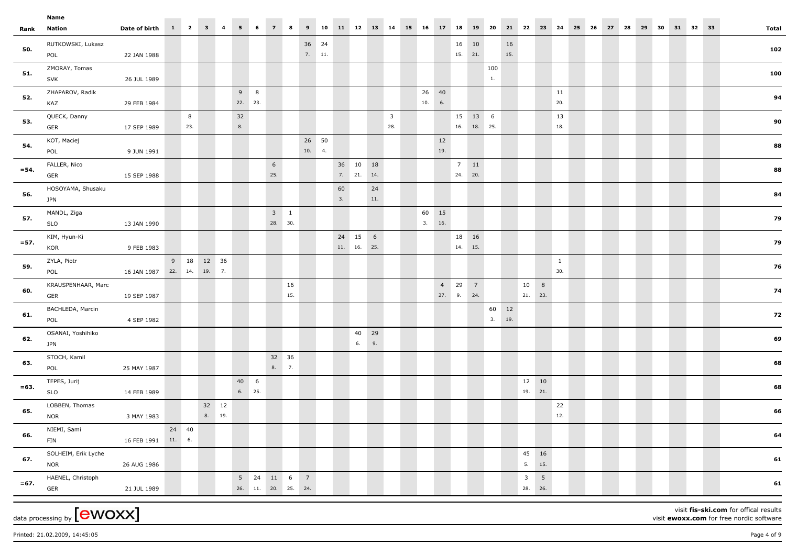|         | Name                |                            |       |     |            |          |                     |     |        |                        |    |             |     |                         |        |       |               |       |        |       |      |             |              |       |       |    |    |          |  |              |
|---------|---------------------|----------------------------|-------|-----|------------|----------|---------------------|-----|--------|------------------------|----|-------------|-----|-------------------------|--------|-------|---------------|-------|--------|-------|------|-------------|--------------|-------|-------|----|----|----------|--|--------------|
| Rank    | Nation              | Date of birth 1 2 3 4      |       |     |            | $5 \t 6$ | $7 \t 8$            |     |        | 9 10 11 12 13 14 15 16 |    |             |     |                         |        | 17 18 |               | 19 20 |        |       |      | 21 22 23 24 |              | 25 26 | 27 28 | 29 | 30 | 31 32 33 |  | <b>Total</b> |
|         | RUTKOWSKI, Lukasz   |                            |       |     |            |          |                     |     | 36 24  |                        |    |             |     |                         |        |       | 16 10         |       |        | 16    |      |             |              |       |       |    |    |          |  |              |
| 50.     | POL                 | 22 JAN 1988                |       |     |            |          |                     |     | 7. 11. |                        |    |             |     |                         |        |       | 15. 21.       |       |        | 15.   |      |             |              |       |       |    |    |          |  | 102          |
| 51.     | ZMORAY, Tomas       |                            |       |     |            |          |                     |     |        |                        |    |             |     |                         |        |       |               |       | 100    |       |      |             |              |       |       |    |    |          |  | 100          |
|         | <b>SVK</b>          | 26 JUL 1989                |       |     |            |          |                     |     |        |                        |    |             |     |                         |        |       |               |       | 1.     |       |      |             |              |       |       |    |    |          |  |              |
|         | ZHAPAROV, Radik     |                            |       |     |            | $9 \t 8$ |                     |     |        |                        |    |             |     |                         | 26 40  |       |               |       |        |       |      |             | 11           |       |       |    |    |          |  |              |
| 52.     | KAZ                 | 29 FEB 1984                |       |     |            | 22. 23.  |                     |     |        |                        |    |             |     |                         | 10. 6. |       |               |       |        |       |      |             | 20.          |       |       |    |    |          |  | 94           |
| 53.     | QUECK, Danny        |                            |       | 8   |            | 32       |                     |     |        |                        |    |             |     | $\overline{\mathbf{3}}$ |        |       | 15 13 6       |       |        |       |      |             | 13           |       |       |    |    |          |  | 90           |
|         | GER                 | 17 SEP 1989                |       | 23. |            | 8.       |                     |     |        |                        |    |             |     | 28.                     |        |       | $16.$ 18. 25. |       |        |       |      |             | 18.          |       |       |    |    |          |  |              |
| 54.     | KOT, Maciej         |                            |       |     |            |          |                     |     | 26 50  |                        |    |             |     |                         |        | 12    |               |       |        |       |      |             |              |       |       |    |    |          |  | 88           |
|         | POL                 | 9 JUN 1991                 |       |     |            |          |                     |     | 10. 4. |                        |    |             |     |                         |        | 19.   |               |       |        |       |      |             |              |       |       |    |    |          |  |              |
| $= 54.$ | FALLER, Nico        |                            |       |     |            |          | $6\overline{6}$     |     |        |                        |    | 36 10 18    |     |                         |        |       | $7 \quad 11$  |       |        |       |      |             |              |       |       |    |    |          |  | 88           |
|         | <b>GER</b>          | 15 SEP 1988                |       |     |            |          | 25.                 |     |        |                        |    | 7. 21. 14.  |     |                         |        |       | 24. 20.       |       |        |       |      |             |              |       |       |    |    |          |  |              |
| 56.     | HOSOYAMA, Shusaku   |                            |       |     |            |          |                     |     |        |                        | 60 |             | 24  |                         |        |       |               |       |        |       |      |             |              |       |       |    |    |          |  | 84           |
|         | <b>JPN</b>          |                            |       |     |            |          |                     |     |        |                        | 3. |             | 11. |                         |        |       |               |       |        |       |      |             |              |       |       |    |    |          |  |              |
| 57.     | MANDL, Ziga         |                            |       |     |            |          | $3\quad1$           |     |        |                        |    |             |     |                         | 60 15  |       |               |       |        |       |      |             |              |       |       |    |    |          |  | 79           |
|         | <b>SLO</b>          | 13 JAN 1990                |       |     |            |          | 28. 30.             |     |        |                        |    |             |     |                         | 3. 16. |       |               |       |        |       |      |             |              |       |       |    |    |          |  |              |
| $= 57.$ | KIM, Hyun-Ki        |                            |       |     |            |          |                     |     |        |                        |    | 24 15 6     |     |                         |        |       | 18 16         |       |        |       |      |             |              |       |       |    |    |          |  | 79           |
|         | KOR                 | 9 FEB 1983                 |       |     |            |          |                     |     |        |                        |    | 11. 16. 25. |     |                         |        |       | 14. 15.       |       |        |       |      |             |              |       |       |    |    |          |  |              |
| 59.     | ZYLA, Piotr         |                            |       |     | 9 18 12 36 |          |                     |     |        |                        |    |             |     |                         |        |       |               |       |        |       |      |             | $\mathbf{1}$ |       |       |    |    |          |  | 76           |
|         | POL                 | 16 JAN 1987 22. 14. 19. 7. |       |     |            |          |                     |     |        |                        |    |             |     |                         |        |       |               |       |        |       |      |             | 30.          |       |       |    |    |          |  |              |
| 60.     | KRAUSPENHAAR, Marc  |                            |       |     |            |          |                     | 16  |        |                        |    |             |     |                         |        |       | 4 29 7        |       |        |       | 10 8 |             |              |       |       |    |    |          |  | 74           |
|         | <b>GER</b>          | 19 SEP 1987                |       |     |            |          |                     | 15. |        |                        |    |             |     |                         |        |       | 27. 9. 24.    |       |        |       |      | 21. 23.     |              |       |       |    |    |          |  |              |
| 61.     | BACHLEDA, Marcin    |                            |       |     |            |          |                     |     |        |                        |    |             |     |                         |        |       |               |       |        | 60 12 |      |             |              |       |       |    |    |          |  | 72           |
|         | POL                 | 4 SEP 1982                 |       |     |            |          |                     |     |        |                        |    |             |     |                         |        |       |               |       | 3. 19. |       |      |             |              |       |       |    |    |          |  |              |
| 62.     | OSANAI, Yoshihiko   |                            |       |     |            |          |                     |     |        |                        |    | 40 29       |     |                         |        |       |               |       |        |       |      |             |              |       |       |    |    |          |  | 69           |
|         | <b>JPN</b>          |                            |       |     |            |          |                     |     |        |                        |    | 6. 9.       |     |                         |        |       |               |       |        |       |      |             |              |       |       |    |    |          |  |              |
| 63.     | STOCH, Kamil        |                            |       |     |            |          | 32 36               |     |        |                        |    |             |     |                         |        |       |               |       |        |       |      |             |              |       |       |    |    |          |  | 68           |
|         | POL                 | 25 MAY 1987                |       |     |            |          | 8.7.                |     |        |                        |    |             |     |                         |        |       |               |       |        |       |      |             |              |       |       |    |    |          |  |              |
| $= 63.$ | TEPES, Jurij        |                            |       |     |            | 40 6     |                     |     |        |                        |    |             |     |                         |        |       |               |       |        |       |      | 12 10       |              |       |       |    |    |          |  | 68           |
|         | <b>SLO</b>          | 14 FEB 1989                |       |     |            | 6. 25.   |                     |     |        |                        |    |             |     |                         |        |       |               |       |        |       |      | 19. 21.     |              |       |       |    |    |          |  |              |
| 65.     | LOBBEN, Thomas      |                            |       |     | 32 12      |          |                     |     |        |                        |    |             |     |                         |        |       |               |       |        |       |      |             | 22           |       |       |    |    |          |  | 66           |
|         | <b>NOR</b>          | 3 MAY 1983                 |       |     | 8. 19.     |          |                     |     |        |                        |    |             |     |                         |        |       |               |       |        |       |      |             | 12.          |       |       |    |    |          |  |              |
| 66.     | NIEMI, Sami         |                            | 24 40 |     |            |          |                     |     |        |                        |    |             |     |                         |        |       |               |       |        |       |      |             |              |       |       |    |    |          |  | 64           |
|         | <b>FIN</b>          | 16 FEB 1991 11. 6.         |       |     |            |          |                     |     |        |                        |    |             |     |                         |        |       |               |       |        |       |      |             |              |       |       |    |    |          |  |              |
| 67.     | SOLHEIM, Erik Lyche |                            |       |     |            |          |                     |     |        |                        |    |             |     |                         |        |       |               |       |        |       |      | 45 16       |              |       |       |    |    |          |  | 61           |
|         | <b>NOR</b>          | 26 AUG 1986                |       |     |            |          |                     |     |        |                        |    |             |     |                         |        |       |               |       |        |       |      | 5. 15.      |              |       |       |    |    |          |  |              |
| $= 67.$ | HAENEL, Christoph   |                            |       |     |            |          | 5 24 11 6 7         |     |        |                        |    |             |     |                         |        |       |               |       |        |       |      | $3 \quad 5$ |              |       |       |    |    |          |  | 61           |
|         | GER                 | 21 JUL 1989                |       |     |            |          | 26. 11. 20. 25. 24. |     |        |                        |    |             |     |                         |        |       |               |       |        |       |      | 28. 26.     |              |       |       |    |    |          |  |              |
|         |                     |                            |       |     |            |          |                     |     |        |                        |    |             |     |                         |        |       |               |       |        |       |      |             |              |       |       |    |    |          |  |              |

 $_{\text{data processing by}}$  [ewoxx]

visit **fis-ski.com** for offical results

visit **ewoxx.com** for free nordic software

Printed: 21.02.2009, 14:45:05 Page 4 of 9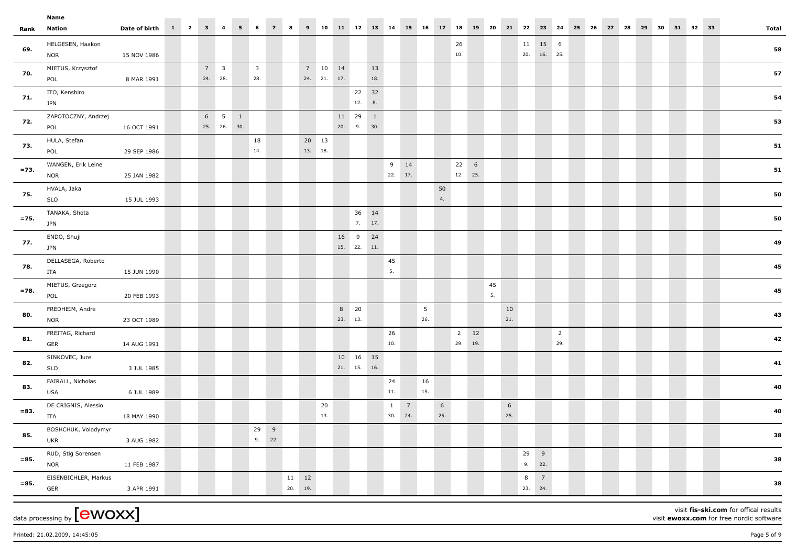|         | Name                             |                       |  |                        |             |                       |                                |                |         |                  |                        |                           |                 |           |                         |                 |                        |                        |                          |       |          |           |                |                                        |                       |       |       |       |  |          |       |
|---------|----------------------------------|-----------------------|--|------------------------|-------------|-----------------------|--------------------------------|----------------|---------|------------------|------------------------|---------------------------|-----------------|-----------|-------------------------|-----------------|------------------------|------------------------|--------------------------|-------|----------|-----------|----------------|----------------------------------------|-----------------------|-------|-------|-------|--|----------|-------|
| Rank    | Nation                           | Date of birth 1 2 3 4 |  |                        |             | $5 -$                 | 6                              | $\overline{z}$ | 8       | 9                | 10                     | 11 12 13 14 15 16         |                 |           |                         |                 |                        | 17 18                  |                          | 19 20 |          |           | 21  22  23  24 |                                        |                       | 25 26 | 27 28 | 29 30 |  | 31 32 33 | Total |
| 69.     | HELGESEN, Haakon<br><b>NOR</b>   | 15 NOV 1986           |  |                        |             |                       |                                |                |         |                  |                        |                           |                 |           |                         |                 |                        |                        | 26<br>10.                |       |          |           |                | $11 \qquad 15 \qquad 6$<br>20. 16. 25. |                       |       |       |       |  |          | 58    |
| 70.     | MIETUS, Krzysztof<br>POL         | 8 MAR 1991            |  | $7 \quad 3$<br>24. 28. |             |                       | $\overline{\mathbf{3}}$<br>28. |                |         |                  | 7 10 14<br>24. 21. 17. |                           |                 | 13<br>18. |                         |                 |                        |                        |                          |       |          |           |                |                                        |                       |       |       |       |  |          | 57    |
| 71.     | ITO, Kenshiro<br><b>JPN</b>      |                       |  |                        |             |                       |                                |                |         |                  |                        |                           | 22 32<br>12. 8. |           |                         |                 |                        |                        |                          |       |          |           |                |                                        |                       |       |       |       |  |          | 54    |
| 72.     | ZAPOTOCZNY, Andrzej<br>POL       | 16 OCT 1991           |  |                        | 25. 26. 30. | $6 \qquad 5 \qquad 1$ |                                |                |         |                  |                        | 11 29 1<br>20. 9. 30.     |                 |           |                         |                 |                        |                        |                          |       |          |           |                |                                        |                       |       |       |       |  |          | 53    |
| 73.     | HULA, Stefan<br>POL              | 29 SEP 1986           |  |                        |             |                       | 18<br>14.                      |                |         | 20 13<br>13. 18. |                        |                           |                 |           |                         |                 |                        |                        |                          |       |          |           |                |                                        |                       |       |       |       |  |          | 51    |
| $= 73.$ | WANGEN, Erik Leine<br><b>NOR</b> | 25 JAN 1982           |  |                        |             |                       |                                |                |         |                  |                        |                           |                 |           | 22. 17.                 | 9 14            |                        |                        | $22 \t 6$<br>12. 25.     |       |          |           |                |                                        |                       |       |       |       |  |          | 51    |
| 75.     | HVALA, Jaka<br><b>SLO</b>        | 15 JUL 1993           |  |                        |             |                       |                                |                |         |                  |                        |                           |                 |           |                         |                 |                        | 50<br>4.               |                          |       |          |           |                |                                        |                       |       |       |       |  |          | 50    |
| $= 75.$ | TANAKA, Shota<br><b>JPN</b>      |                       |  |                        |             |                       |                                |                |         |                  |                        |                           | 36 14           | 7. 17.    |                         |                 |                        |                        |                          |       |          |           |                |                                        |                       |       |       |       |  |          | 50    |
| 77.     | ENDO, Shuji<br><b>JPN</b>        |                       |  |                        |             |                       |                                |                |         |                  |                        | 15. 22. 11.               | 16 9 24         |           |                         |                 |                        |                        |                          |       |          |           |                |                                        |                       |       |       |       |  |          | 49    |
| 78.     | DELLASEGA, Roberto<br>ITA        | 15 JUN 1990           |  |                        |             |                       |                                |                |         |                  |                        |                           |                 |           | 45<br>5.                |                 |                        |                        |                          |       |          |           |                |                                        |                       |       |       |       |  |          | 45    |
| $= 78.$ | MIETUS, Grzegorz<br>POL          | 20 FEB 1993           |  |                        |             |                       |                                |                |         |                  |                        |                           |                 |           |                         |                 |                        |                        |                          |       | 45<br>5. |           |                |                                        |                       |       |       |       |  |          | 45    |
| 80.     | FREDHEIM, Andre<br><b>NOR</b>    | 23 OCT 1989           |  |                        |             |                       |                                |                |         |                  |                        | 8 20<br>23. 13.           |                 |           |                         |                 | $5\overline{5}$<br>26. |                        |                          |       |          | 10<br>21. |                |                                        |                       |       |       |       |  |          | 43    |
| 81.     | FREITAG, Richard<br>GER          | 14 AUG 1991           |  |                        |             |                       |                                |                |         |                  |                        |                           |                 |           | 26<br>10.               |                 |                        |                        | $2 \qquad 12$<br>29. 19. |       |          |           |                |                                        | $\overline{2}$<br>29. |       |       |       |  |          | 42    |
| 82.     | SINKOVEC, Jure<br><b>SLO</b>     | 3 JUL 1985            |  |                        |             |                       |                                |                |         |                  |                        | 10  16  15<br>21. 15. 16. |                 |           |                         |                 |                        |                        |                          |       |          |           |                |                                        |                       |       |       |       |  |          | 41    |
| 83.     | FAIRALL, Nicholas<br>USA         | 6 JUL 1989            |  |                        |             |                       |                                |                |         |                  |                        |                           |                 |           | 24<br>11.               |                 | 16<br>15.              |                        |                          |       |          |           |                |                                        |                       |       |       |       |  |          | 40    |
| $= 83.$ | DE CRIGNIS, Alessio<br>ITA       | 18 MAY 1990           |  |                        |             |                       |                                |                |         |                  | 20<br>13.              |                           |                 |           | $\mathbf{1}$<br>30. 24. | $7\overline{ }$ |                        | $6\overline{6}$<br>25. |                          |       |          | 6<br>25.  |                |                                        |                       |       |       |       |  |          | 40    |
| 85.     | BOSHCHUK, Volodymyr<br>UKR       | 3 AUG 1982            |  |                        |             |                       | 29 9                           | 9. 22.         |         |                  |                        |                           |                 |           |                         |                 |                        |                        |                          |       |          |           |                |                                        |                       |       |       |       |  |          | 38    |
| $= 85.$ | RUD, Stig Sorensen<br><b>NOR</b> | 11 FEB 1987           |  |                        |             |                       |                                |                |         |                  |                        |                           |                 |           |                         |                 |                        |                        |                          |       |          |           | 29 9<br>9. 22. |                                        |                       |       |       |       |  |          | 38    |
| $= 85.$ | EISENBICHLER, Markus<br>GER      | 3 APR 1991            |  |                        |             |                       |                                |                | 20. 19. | $11 \qquad 12$   |                        |                           |                 |           |                         |                 |                        |                        |                          |       |          |           | 8<br>23. 24.   | $\overline{7}$                         |                       |       |       |       |  |          | 38    |
|         |                                  |                       |  |                        |             |                       |                                |                |         |                  |                        |                           |                 |           |                         |                 |                        |                        |                          |       |          |           |                |                                        |                       |       |       |       |  |          |       |

data processing by  ${\rm [ewoxx]}$ 

visit **fis-ski.com** for offical results

visit **ewoxx.com** for free nordic software

Printed: 21.02.2009, 14:45:05 Page 5 of 9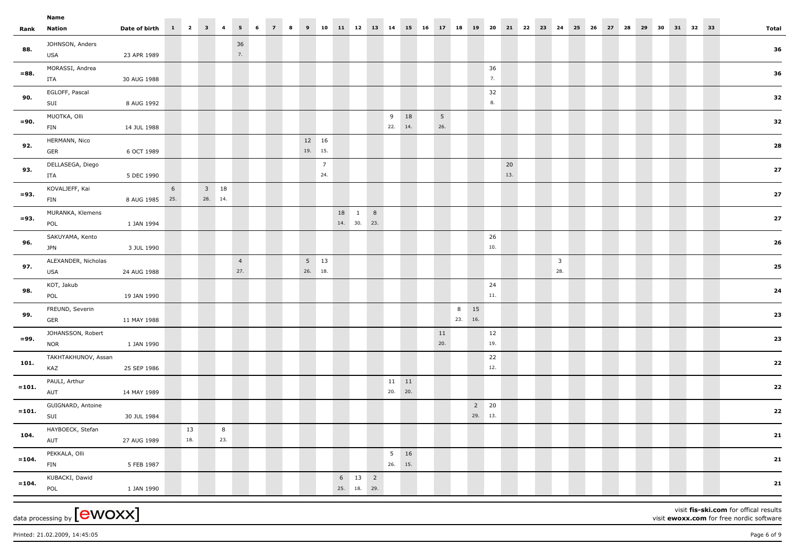|          | Name<br>$1 \quad 2$<br>$3 \quad 4$<br>6<br>10<br>11 12 13 14<br>31 32 33<br>Date of birth<br>5 <sub>5</sub><br>8<br>15 16<br>20<br>21 22 23<br>26<br>28<br>30<br>$\overline{7}$<br>9<br>17<br>18<br>19<br>24<br>25<br>27<br>29<br>Nation |                |                 |     |         |             |                       |  |  |  |                  |                 |    |                        |                           |    |                        |                 |                   |     |  |                                |  |  |  |  |  |       |
|----------|------------------------------------------------------------------------------------------------------------------------------------------------------------------------------------------------------------------------------------------|----------------|-----------------|-----|---------|-------------|-----------------------|--|--|--|------------------|-----------------|----|------------------------|---------------------------|----|------------------------|-----------------|-------------------|-----|--|--------------------------------|--|--|--|--|--|-------|
| Rank     |                                                                                                                                                                                                                                          |                |                 |     |         |             |                       |  |  |  |                  |                 |    |                        |                           |    |                        |                 |                   |     |  |                                |  |  |  |  |  | Total |
| 88.      | JOHNSON, Anders<br>USA                                                                                                                                                                                                                   | 23 APR 1989    |                 |     |         |             | 36<br>7.              |  |  |  |                  |                 |    |                        |                           |    |                        |                 |                   |     |  |                                |  |  |  |  |  | 36    |
| $= 88.$  | MORASSI, Andrea<br>ITA                                                                                                                                                                                                                   | 30 AUG 1988    |                 |     |         |             |                       |  |  |  |                  |                 |    |                        |                           |    |                        |                 | 36<br>7.          |     |  |                                |  |  |  |  |  | 36    |
| 90.      | EGLOFF, Pascal<br>SUI                                                                                                                                                                                                                    | 8 AUG 1992     |                 |     |         |             |                       |  |  |  |                  |                 |    |                        |                           |    |                        |                 | 32<br>8.          |     |  |                                |  |  |  |  |  | 32    |
| $= 90.$  | MUOTKA, Olli<br>FIN                                                                                                                                                                                                                      | 14 JUL 1988    |                 |     |         |             |                       |  |  |  |                  |                 |    |                        | 9 18<br>22. 14.           |    | $5\phantom{.0}$<br>26. |                 |                   |     |  |                                |  |  |  |  |  | 32    |
| 92.      | HERMANN, Nico                                                                                                                                                                                                                            |                |                 |     |         |             |                       |  |  |  | 12 16<br>19. 15. |                 |    |                        |                           |    |                        |                 |                   |     |  |                                |  |  |  |  |  | 28    |
| 93.      | GER<br>DELLASEGA, Diego                                                                                                                                                                                                                  | 6 OCT 1989     |                 |     |         |             |                       |  |  |  |                  | $7\overline{ }$ |    |                        |                           |    |                        |                 |                   | 20  |  |                                |  |  |  |  |  | 27    |
| $= 93.$  | ITA<br>KOVALJEFF, Kai                                                                                                                                                                                                                    | 5 DEC 1990     | $6\overline{6}$ |     |         | $3\quad 18$ |                       |  |  |  |                  | 24.             |    |                        |                           |    |                        |                 |                   | 13. |  |                                |  |  |  |  |  | 27    |
|          | FIN<br>MURANKA, Klemens                                                                                                                                                                                                                  | 8 AUG 1985 25. |                 |     | 28. 14. |             |                       |  |  |  |                  |                 | 18 | $1 \quad 8$            |                           |    |                        |                 |                   |     |  |                                |  |  |  |  |  |       |
| $= 93.$  | POL<br>SAKUYAMA, Kento                                                                                                                                                                                                                   | 1 JAN 1994     |                 |     |         |             |                       |  |  |  |                  |                 |    | 14. 30. 23.            |                           |    |                        |                 | 26                |     |  |                                |  |  |  |  |  | 27    |
| 96.      | <b>JPN</b>                                                                                                                                                                                                                               | 3 JUL 1990     |                 |     |         |             |                       |  |  |  |                  |                 |    |                        |                           |    |                        |                 | 10.               |     |  |                                |  |  |  |  |  | 26    |
| 97.      | ALEXANDER, Nicholas<br>USA                                                                                                                                                                                                               | 24 AUG 1988    |                 |     |         |             | $\overline{4}$<br>27. |  |  |  | 26. 18.          | $5 \quad 13$    |    |                        |                           |    |                        |                 |                   |     |  | $\overline{\mathbf{3}}$<br>28. |  |  |  |  |  | 25    |
| 98.      | KOT, Jakub<br>POL                                                                                                                                                                                                                        | 19 JAN 1990    |                 |     |         |             |                       |  |  |  |                  |                 |    |                        |                           |    |                        |                 | 24<br>$11. \,$    |     |  |                                |  |  |  |  |  | 24    |
| 99.      | FREUND, Severin<br>GER                                                                                                                                                                                                                   | 11 MAY 1988    |                 |     |         |             |                       |  |  |  |                  |                 |    |                        |                           |    |                        | 8 15<br>23. 16. |                   |     |  |                                |  |  |  |  |  | 23    |
| $= 99.$  | JOHANSSON, Robert<br><b>NOR</b>                                                                                                                                                                                                          | 1 JAN 1990     |                 |     |         |             |                       |  |  |  |                  |                 |    |                        |                           |    | 11<br>20.              |                 | 12<br>19.         |     |  |                                |  |  |  |  |  | 23    |
| 101.     | TAKHTAKHUNOV, Assan<br>KAZ                                                                                                                                                                                                               | 25 SEP 1986    |                 |     |         |             |                       |  |  |  |                  |                 |    |                        |                           |    |                        |                 | 22<br>12.         |     |  |                                |  |  |  |  |  | 22    |
| $= 101.$ | PAULI, Arthur<br>AUT                                                                                                                                                                                                                     | 14 MAY 1989    |                 |     |         |             |                       |  |  |  |                  |                 |    |                        | $11 \qquad 11$<br>20. 20. |    |                        |                 |                   |     |  |                                |  |  |  |  |  | 22    |
| $= 101.$ | GUIGNARD, Antoine                                                                                                                                                                                                                        |                |                 |     |         |             |                       |  |  |  |                  |                 |    |                        |                           |    |                        |                 | $2 20$<br>29. 13. |     |  |                                |  |  |  |  |  | 22    |
| 104.     | SUI<br>HAYBOECK, Stefan                                                                                                                                                                                                                  | 30 JUL 1984    |                 | 13  |         | 8           |                       |  |  |  |                  |                 |    |                        |                           |    |                        |                 |                   |     |  |                                |  |  |  |  |  | 21    |
| $=104.$  | AUT<br>PEKKALA, Olli                                                                                                                                                                                                                     | 27 AUG 1989    |                 | 18. |         | 23.         |                       |  |  |  |                  |                 |    |                        | $5\overline{5}$           | 16 |                        |                 |                   |     |  |                                |  |  |  |  |  | 21    |
|          | FIN<br>KUBACKI, Dawid                                                                                                                                                                                                                    | 5 FEB 1987     |                 |     |         |             |                       |  |  |  |                  |                 |    | $6 \qquad 13 \qquad 2$ | 26. 15.                   |    |                        |                 |                   |     |  |                                |  |  |  |  |  |       |
| $=104.$  | POL                                                                                                                                                                                                                                      | 1 JAN 1990     |                 |     |         |             |                       |  |  |  |                  |                 |    | 25. 18. 29.            |                           |    |                        |                 |                   |     |  |                                |  |  |  |  |  | 21    |

Printed: 21.02.2009, 14:45:05 Page 6 of 9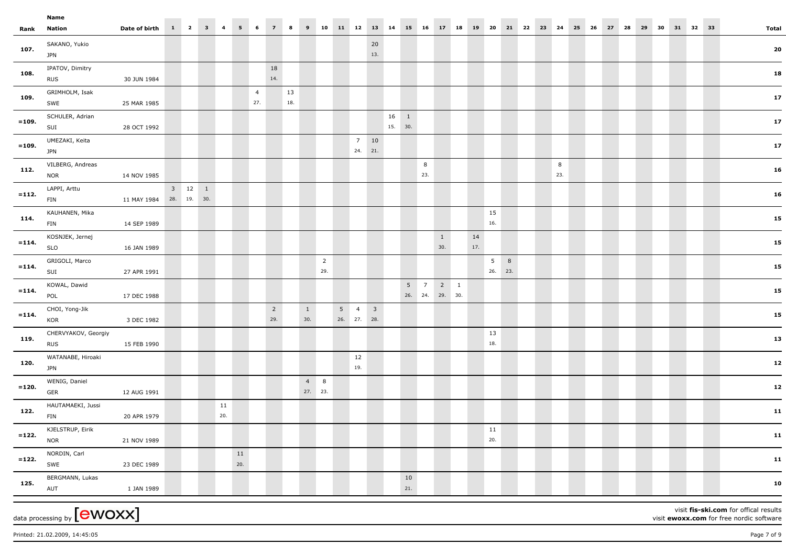|          | Name                                           |                         |                             |           |           |                       |                       |           |                        |                       |             |                          |           |                 |               |                                                   |                     |           |           |                                |       |    |          |    |    |    |    |    |    |          |                                                                                   |
|----------|------------------------------------------------|-------------------------|-----------------------------|-----------|-----------|-----------------------|-----------------------|-----------|------------------------|-----------------------|-------------|--------------------------|-----------|-----------------|---------------|---------------------------------------------------|---------------------|-----------|-----------|--------------------------------|-------|----|----------|----|----|----|----|----|----|----------|-----------------------------------------------------------------------------------|
| Rank     | Nation                                         | Date of birth           | $1 \quad 2 \quad 3 \quad 4$ |           |           | $5 \t 6$              | 7 <sup>7</sup>        | 8         |                        | $9 \t10$              | 11 12 13 14 |                          |           |                 | 15 16         |                                                   | 17 18               |           | 19 20     |                                | 21 22 | 23 | 24       | 25 | 26 | 27 | 28 | 29 | 30 | 31 32 33 | <b>Total</b>                                                                      |
| 107.     | SAKANO, Yukio<br><b>JPN</b>                    |                         |                             |           |           |                       |                       |           |                        |                       |             |                          | 20<br>13. |                 |               |                                                   |                     |           |           |                                |       |    |          |    |    |    |    |    |    |          | 20                                                                                |
| 108.     | IPATOV, Dimitry                                |                         |                             |           |           |                       | 18                    |           |                        |                       |             |                          |           |                 |               |                                                   |                     |           |           |                                |       |    |          |    |    |    |    |    |    |          | 18                                                                                |
|          | <b>RUS</b>                                     | 30 JUN 1984             |                             |           |           |                       | 14.                   |           |                        |                       |             |                          |           |                 |               |                                                   |                     |           |           |                                |       |    |          |    |    |    |    |    |    |          |                                                                                   |
| 109.     | GRIMHOLM, Isak<br>SWE                          | 25 MAR 1985             |                             |           |           | $\overline{4}$<br>27. |                       | 13<br>18. |                        |                       |             |                          |           |                 |               |                                                   |                     |           |           |                                |       |    |          |    |    |    |    |    |    |          | 17 <sub>2</sub>                                                                   |
| $= 109.$ | SCHULER, Adrian<br>SUI                         | 28 OCT 1992             |                             |           |           |                       |                       |           |                        |                       |             |                          |           | 16 1<br>15. 30. |               |                                                   |                     |           |           |                                |       |    |          |    |    |    |    |    |    |          | 17 <sub>2</sub>                                                                   |
| $= 109.$ | UMEZAKI, Keita<br><b>JPN</b>                   |                         |                             |           |           |                       |                       |           |                        |                       |             | $7 \qquad 10$<br>24. 21. |           |                 |               |                                                   |                     |           |           |                                |       |    |          |    |    |    |    |    |    |          | 17                                                                                |
| 112.     | VILBERG, Andreas<br><b>NOR</b>                 | 14 NOV 1985             |                             |           |           |                       |                       |           |                        |                       |             |                          |           |                 |               | 8<br>23.                                          |                     |           |           |                                |       |    | 8<br>23. |    |    |    |    |    |    |          | 16                                                                                |
| $= 112.$ | LAPPI, Arttu<br><b>FIN</b>                     | 11 MAY 1984 28. 19. 30. | $3 \qquad 12 \qquad 1$      |           |           |                       |                       |           |                        |                       |             |                          |           |                 |               |                                                   |                     |           |           |                                |       |    |          |    |    |    |    |    |    |          | 16                                                                                |
| 114.     | KAUHANEN, Mika<br><b>FIN</b>                   | 14 SEP 1989             |                             |           |           |                       |                       |           |                        |                       |             |                          |           |                 |               |                                                   |                     |           | 15<br>16. |                                |       |    |          |    |    |    |    |    |    |          | 15                                                                                |
| $= 114.$ | KOSNJEK, Jernej<br><b>SLO</b>                  | 16 JAN 1989             |                             |           |           |                       |                       |           |                        |                       |             |                          |           |                 |               |                                                   | $\mathbf{1}$<br>30. | 14<br>17. |           |                                |       |    |          |    |    |    |    |    |    |          | 15                                                                                |
| $= 114.$ | GRIGOLI, Marco<br>SUI                          | 27 APR 1991             |                             |           |           |                       |                       |           |                        | $\overline{2}$<br>29. |             |                          |           |                 |               |                                                   |                     |           |           | 5 <sup>1</sup><br>8<br>26. 23. |       |    |          |    |    |    |    |    |    |          | 15                                                                                |
| $= 114.$ | KOWAL, Dawid<br>POL                            | 17 DEC 1988             |                             |           |           |                       |                       |           |                        |                       |             |                          |           |                 |               | $5 \qquad 7 \qquad 2 \qquad 1$<br>26. 24. 29. 30. |                     |           |           |                                |       |    |          |    |    |    |    |    |    |          | 15                                                                                |
| $= 114.$ | CHOI, Yong-Jik<br>KOR                          | 3 DEC 1982              |                             |           |           |                       | $\overline{2}$<br>29. |           | $\mathbf{1}$<br>30.    |                       | 26. 27. 28. | $5 \t 4 \t 3$            |           |                 |               |                                                   |                     |           |           |                                |       |    |          |    |    |    |    |    |    |          | 15                                                                                |
| 119      | CHERVYAKOV, Georgiy<br><b>RUS</b>              | 15 FEB 1990             |                             |           |           |                       |                       |           |                        |                       |             |                          |           |                 |               |                                                   |                     |           | 13<br>18. |                                |       |    |          |    |    |    |    |    |    |          | 13                                                                                |
| 120.     | WATANABE, Hiroaki<br><b>JPN</b>                |                         |                             |           |           |                       |                       |           |                        |                       |             | 12<br>19.                |           |                 |               |                                                   |                     |           |           |                                |       |    |          |    |    |    |    |    |    |          | 12                                                                                |
| $= 120.$ | WENIG, Daniel<br>GER                           | 12 AUG 1991             |                             |           |           |                       |                       |           | $4 \quad 8$<br>27. 23. |                       |             |                          |           |                 |               |                                                   |                     |           |           |                                |       |    |          |    |    |    |    |    |    |          | 12                                                                                |
| 122.     | HAUTAMAEKI, Jussi<br>FIN                       | 20 APR 1979             |                             | 11<br>20. |           |                       |                       |           |                        |                       |             |                          |           |                 |               |                                                   |                     |           |           |                                |       |    |          |    |    |    |    |    |    |          | 11                                                                                |
| $= 122.$ | KJELSTRUP, Eirik<br><b>NOR</b>                 | 21 NOV 1989             |                             |           |           |                       |                       |           |                        |                       |             |                          |           |                 |               |                                                   |                     |           | 11<br>20. |                                |       |    |          |    |    |    |    |    |    |          | $\bf 11$                                                                          |
| $= 122.$ | NORDIN, Carl<br>SWE                            | 23 DEC 1989             |                             |           | 11<br>20. |                       |                       |           |                        |                       |             |                          |           |                 |               |                                                   |                     |           |           |                                |       |    |          |    |    |    |    |    |    |          | 11                                                                                |
| 125.     | BERGMANN, Lukas<br>AUT                         | 1 JAN 1989              |                             |           |           |                       |                       |           |                        |                       |             |                          |           |                 | $10\,$<br>21. |                                                   |                     |           |           |                                |       |    |          |    |    |    |    |    |    |          | 10                                                                                |
|          | data processing by $\left[\text{ewoxx}\right]$ |                         |                             |           |           |                       |                       |           |                        |                       |             |                          |           |                 |               |                                                   |                     |           |           |                                |       |    |          |    |    |    |    |    |    |          | visit fis-ski.com for offical results<br>visit ewoxx.com for free nordic software |

Printed: 21.02.2009, 14:45:05 Page 7 of 9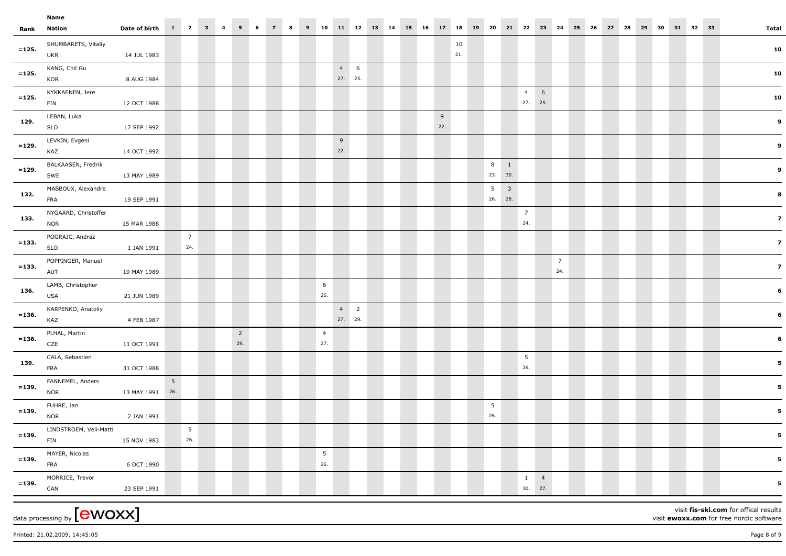|          | Name                               |                       |                |                        |  |                |   |                |   |   |                |            |    |    |       |           |    |          |             |                 |                            |                |    |    |    |    |    |    |          |  |                                          |
|----------|------------------------------------|-----------------------|----------------|------------------------|--|----------------|---|----------------|---|---|----------------|------------|----|----|-------|-----------|----|----------|-------------|-----------------|----------------------------|----------------|----|----|----|----|----|----|----------|--|------------------------------------------|
|          | Rank Nation                        | Date of birth 1 2 3 4 |                |                        |  | 5              | 6 | $\overline{7}$ | 8 | 9 | 10             | 11 12      | 13 | 14 | 15 16 | 17 18     | 19 | 20       |             | 21 22           | 23                         | 24             | 25 | 26 | 27 | 28 | 29 | 30 | 31 32 33 |  | <b>Total</b>                             |
| $= 125.$ | SHUMBARETS, Vitaliy<br>UKR         | 14 JUL 1983           |                |                        |  |                |   |                |   |   |                |            |    |    |       | 10<br>21. |    |          |             |                 |                            |                |    |    |    |    |    |    |          |  | 10                                       |
| $= 125.$ | KANG, Chil Gu                      |                       |                |                        |  |                |   |                |   |   |                | $4\quad 6$ |    |    |       |           |    |          |             |                 |                            |                |    |    |    |    |    |    |          |  | 10                                       |
|          | KOR                                | 8 AUG 1984            |                |                        |  |                |   |                |   |   |                | 27. 25.    |    |    |       |           |    |          |             |                 |                            |                |    |    |    |    |    |    |          |  |                                          |
| $= 125.$ | KYKKAENEN, Jere                    |                       |                |                        |  |                |   |                |   |   |                |            |    |    |       |           |    |          |             | $\overline{4}$  | $6\overline{6}$<br>27. 25. |                |    |    |    |    |    |    |          |  | 10                                       |
|          | FIN                                | 12 OCT 1988           |                |                        |  |                |   |                |   |   |                |            |    |    |       |           |    |          |             |                 |                            |                |    |    |    |    |    |    |          |  |                                          |
| 129.     | LEBAN, Luka<br>SLO                 |                       |                |                        |  |                |   |                |   |   |                |            |    |    |       | 9<br>22.  |    |          |             |                 |                            |                |    |    |    |    |    |    |          |  | 9                                        |
|          |                                    | 17 SEP 1992           |                |                        |  |                |   |                |   |   |                |            |    |    |       |           |    |          |             |                 |                            |                |    |    |    |    |    |    |          |  |                                          |
| $= 129.$ | LEVKIN, Evgeni<br>KAZ              | 14 OCT 1992           |                |                        |  |                |   |                |   |   |                | 9<br>22.   |    |    |       |           |    |          |             |                 |                            |                |    |    |    |    |    |    |          |  | 9                                        |
|          | BALKAASEN, Fredrik                 |                       |                |                        |  |                |   |                |   |   |                |            |    |    |       |           |    |          | $8 \quad 1$ |                 |                            |                |    |    |    |    |    |    |          |  |                                          |
| $= 129.$ | SWE                                | 13 MAY 1989           |                |                        |  |                |   |                |   |   |                |            |    |    |       |           |    |          | 23. 30.     |                 |                            |                |    |    |    |    |    |    |          |  | 9                                        |
|          | MABBOUX, Alexandre                 |                       |                |                        |  |                |   |                |   |   |                |            |    |    |       |           |    |          | $5 \quad 3$ |                 |                            |                |    |    |    |    |    |    |          |  |                                          |
| 132      | FRA                                | 19 SEP 1991           |                |                        |  |                |   |                |   |   |                |            |    |    |       |           |    |          | 26. 28.     |                 |                            |                |    |    |    |    |    |    |          |  | 8                                        |
|          | NYGAARD, Christoffer               |                       |                |                        |  |                |   |                |   |   |                |            |    |    |       |           |    |          |             | $\overline{7}$  |                            |                |    |    |    |    |    |    |          |  |                                          |
| 133.     | <b>NOR</b>                         | 15 MAR 1988           |                |                        |  |                |   |                |   |   |                |            |    |    |       |           |    |          |             | 24.             |                            |                |    |    |    |    |    |    |          |  | 7 <sup>1</sup>                           |
| $= 133.$ | POGRAJC, Andraz                    |                       |                | $\overline{7}$         |  |                |   |                |   |   |                |            |    |    |       |           |    |          |             |                 |                            |                |    |    |    |    |    |    |          |  |                                          |
|          | SLO                                | 1 JAN 1991            |                | 24.                    |  |                |   |                |   |   |                |            |    |    |       |           |    |          |             |                 |                            |                |    |    |    |    |    |    |          |  | $\overline{z}$                           |
| $= 133.$ | POPPINGER, Manuel                  |                       |                |                        |  |                |   |                |   |   |                |            |    |    |       |           |    |          |             |                 |                            | $\overline{7}$ |    |    |    |    |    |    |          |  | 7 <sup>1</sup>                           |
|          | AUT                                | 19 MAY 1989           |                |                        |  |                |   |                |   |   |                |            |    |    |       |           |    |          |             |                 |                            | 24.            |    |    |    |    |    |    |          |  |                                          |
| 136.     | LAMB, Christopher                  |                       |                |                        |  |                |   |                |   |   | 6              |            |    |    |       |           |    |          |             |                 |                            |                |    |    |    |    |    |    |          |  | 6                                        |
|          | USA                                | 21 JUN 1989           |                |                        |  |                |   |                |   |   | 25.            |            |    |    |       |           |    |          |             |                 |                            |                |    |    |    |    |    |    |          |  |                                          |
| $= 136.$ | KARPENKO, Anatoliy                 |                       |                |                        |  |                |   |                |   |   |                | $4\quad 2$ |    |    |       |           |    |          |             |                 |                            |                |    |    |    |    |    |    |          |  | 6                                        |
|          | KAZ                                | 4 FEB 1987            |                |                        |  |                |   |                |   |   |                | 27. 29.    |    |    |       |           |    |          |             |                 |                            |                |    |    |    |    |    |    |          |  |                                          |
| $= 136.$ | PLHAL, Martin                      |                       |                |                        |  | $\overline{2}$ |   |                |   |   | $\overline{4}$ |            |    |    |       |           |    |          |             |                 |                            |                |    |    |    |    |    |    |          |  | 6                                        |
|          | CZE                                | 11 OCT 1991           |                |                        |  | 29.            |   |                |   |   | 27.            |            |    |    |       |           |    |          |             |                 |                            |                |    |    |    |    |    |    |          |  |                                          |
| 139.     | CALA, Sebastien                    |                       |                |                        |  |                |   |                |   |   |                |            |    |    |       |           |    |          |             | $5\overline{5}$ |                            |                |    |    |    |    |    |    |          |  | 5 <sub>5</sub>                           |
|          | FRA                                | 31 OCT 1988           |                |                        |  |                |   |                |   |   |                |            |    |    |       |           |    |          |             | 26.             |                            |                |    |    |    |    |    |    |          |  |                                          |
| $= 139.$ | FANNEMEL, Anders                   |                       | 5 <sub>1</sub> |                        |  |                |   |                |   |   |                |            |    |    |       |           |    |          |             |                 |                            |                |    |    |    |    |    |    |          |  | 5 <sub>5</sub>                           |
|          | <b>NOR</b>                         | 13 MAY 1991 26.       |                |                        |  |                |   |                |   |   |                |            |    |    |       |           |    |          |             |                 |                            |                |    |    |    |    |    |    |          |  |                                          |
| $= 139.$ | FUHRE, Jan<br><b>NOR</b>           |                       |                |                        |  |                |   |                |   |   |                |            |    |    |       |           |    | 5<br>26. |             |                 |                            |                |    |    |    |    |    |    |          |  | 5 <sub>1</sub>                           |
|          |                                    | 2 JAN 1991            |                |                        |  |                |   |                |   |   |                |            |    |    |       |           |    |          |             |                 |                            |                |    |    |    |    |    |    |          |  |                                          |
| $= 139.$ | LINDSTROEM, Veli-Matti<br>FIN      | 15 NOV 1983           |                | $5\overline{)}$<br>26. |  |                |   |                |   |   |                |            |    |    |       |           |    |          |             |                 |                            |                |    |    |    |    |    |    |          |  | $\overline{\mathbf{5}}$                  |
|          |                                    |                       |                |                        |  |                |   |                |   |   | 5              |            |    |    |       |           |    |          |             |                 |                            |                |    |    |    |    |    |    |          |  |                                          |
| $= 139.$ | MAYER, Nicolas<br>FRA              | 6 OCT 1990            |                |                        |  |                |   |                |   |   | 26.            |            |    |    |       |           |    |          |             |                 |                            |                |    |    |    |    |    |    |          |  | $5^{\circ}$                              |
|          | MORRICE, Trevor                    |                       |                |                        |  |                |   |                |   |   |                |            |    |    |       |           |    |          |             |                 | $1 \quad 4$                |                |    |    |    |    |    |    |          |  |                                          |
| $= 139.$ | CAN                                | 23 SEP 1991           |                |                        |  |                |   |                |   |   |                |            |    |    |       |           |    |          |             |                 | 30. 27.                    |                |    |    |    |    |    |    |          |  | $5^{\circ}$                              |
|          |                                    |                       |                |                        |  |                |   |                |   |   |                |            |    |    |       |           |    |          |             |                 |                            |                |    |    |    |    |    |    |          |  |                                          |
|          | data processing by ${\rm [ewoxx]}$ |                       |                |                        |  |                |   |                |   |   |                |            |    |    |       |           |    |          |             |                 |                            |                |    |    |    |    |    |    |          |  | visit fis-ski.com for offical results    |
|          |                                    |                       |                |                        |  |                |   |                |   |   |                |            |    |    |       |           |    |          |             |                 |                            |                |    |    |    |    |    |    |          |  | visit ewoxx.com for free nordic software |

Printed: 21.02.2009, 14:45:05 Page 8 of 9